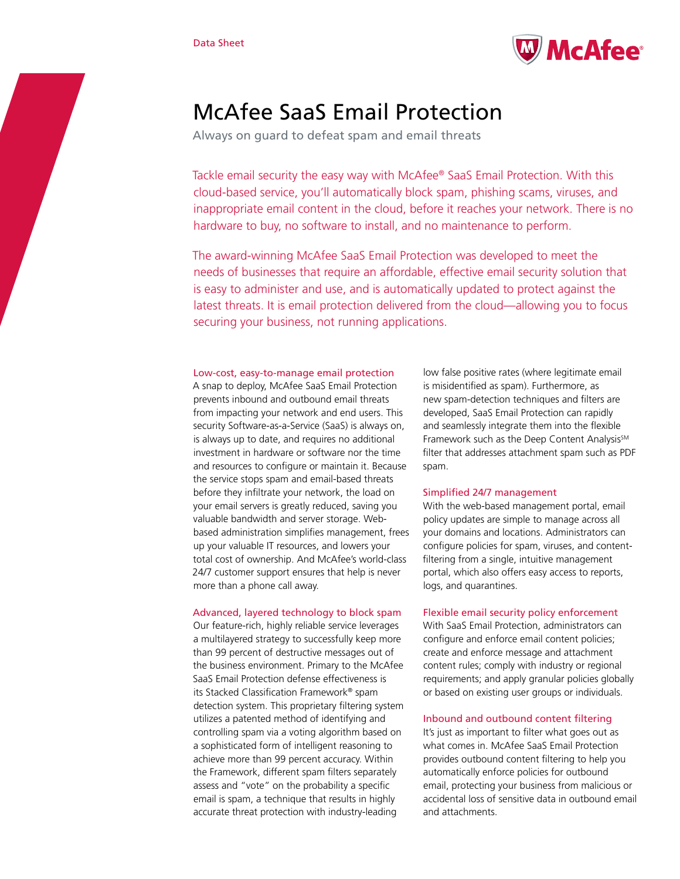

# McAfee SaaS Email Protection

Always on guard to defeat spam and email threats

Tackle email security the easy way with McAfee® SaaS Email Protection. With this cloud-based service, you'll automatically block spam, phishing scams, viruses, and inappropriate email content in the cloud, before it reaches your network. There is no hardware to buy, no software to install, and no maintenance to perform.

The award-winning McAfee SaaS Email Protection was developed to meet the needs of businesses that require an affordable, effective email security solution that is easy to administer and use, and is automatically updated to protect against the latest threats. It is email protection delivered from the cloud—allowing you to focus securing your business, not running applications.

## Low-cost, easy-to-manage email protection

A snap to deploy, McAfee SaaS Email Protection prevents inbound and outbound email threats from impacting your network and end users. This security Software-as-a-Service (SaaS) is always on, is always up to date, and requires no additional investment in hardware or software nor the time and resources to configure or maintain it. Because the service stops spam and email-based threats before they infiltrate your network, the load on your email servers is greatly reduced, saving you valuable bandwidth and server storage. Webbased administration simplifies management, frees up your valuable IT resources, and lowers your total cost of ownership. And McAfee's world-class 24/7 customer support ensures that help is never more than a phone call away.

## Advanced, layered technology to block spam

Our feature-rich, highly reliable service leverages a multilayered strategy to successfully keep more than 99 percent of destructive messages out of the business environment. Primary to the McAfee SaaS Email Protection defense effectiveness is its Stacked Classification Framework® spam detection system. This proprietary filtering system utilizes a patented method of identifying and controlling spam via a voting algorithm based on a sophisticated form of intelligent reasoning to achieve more than 99 percent accuracy. Within the Framework, different spam filters separately assess and "vote" on the probability a specific email is spam, a technique that results in highly accurate threat protection with industry-leading

low false positive rates (where legitimate email is misidentified as spam). Furthermore, as new spam-detection techniques and filters are developed, SaaS Email Protection can rapidly and seamlessly integrate them into the flexible Framework such as the Deep Content Analysis<sup>SM</sup> filter that addresses attachment spam such as PDF spam.

## Simplified 24/7 management

With the web-based management portal, email policy updates are simple to manage across all your domains and locations. Administrators can configure policies for spam, viruses, and contentfiltering from a single, intuitive management portal, which also offers easy access to reports, logs, and quarantines.

## Flexible email security policy enforcement

With SaaS Email Protection, administrators can configure and enforce email content policies; create and enforce message and attachment content rules; comply with industry or regional requirements; and apply granular policies globally or based on existing user groups or individuals.

## Inbound and outbound content filtering

It's just as important to filter what goes out as what comes in. McAfee SaaS Email Protection provides outbound content filtering to help you automatically enforce policies for outbound email, protecting your business from malicious or accidental loss of sensitive data in outbound email and attachments.